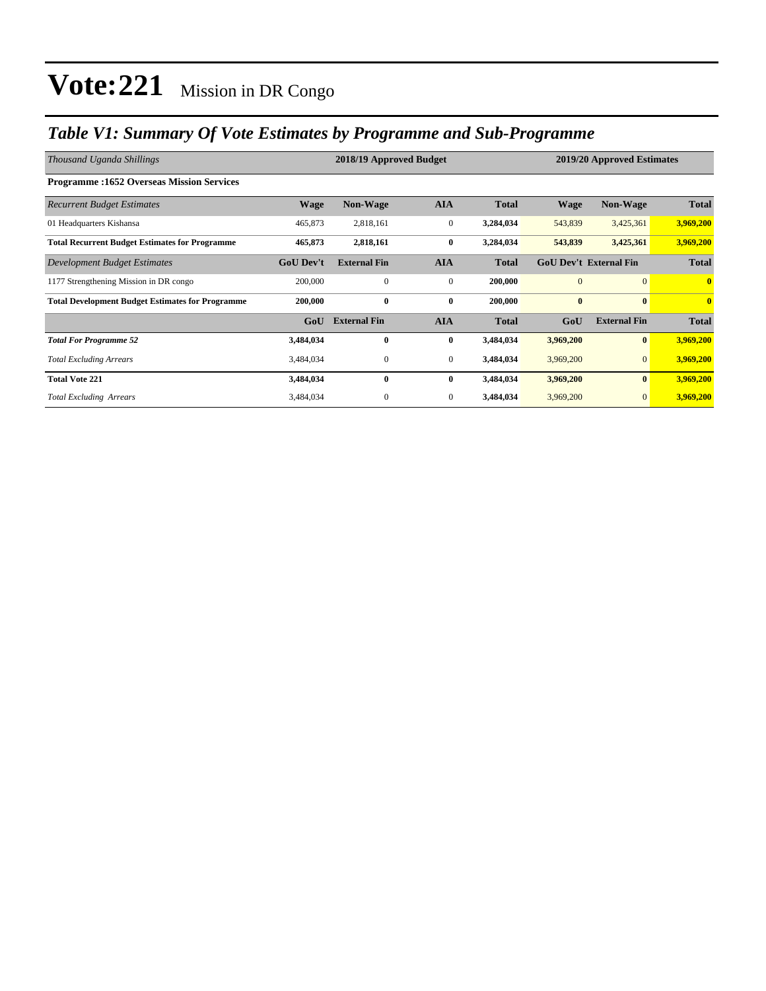### *Table V1: Summary Of Vote Estimates by Programme and Sub-Programme*

| Thousand Uganda Shillings                               |                  | 2018/19 Approved Budget |                  | 2019/20 Approved Estimates |                               |                     |                         |
|---------------------------------------------------------|------------------|-------------------------|------------------|----------------------------|-------------------------------|---------------------|-------------------------|
| <b>Programme:1652 Overseas Mission Services</b>         |                  |                         |                  |                            |                               |                     |                         |
| <b>Recurrent Budget Estimates</b>                       | <b>Wage</b>      | <b>Non-Wage</b>         | <b>AIA</b>       | <b>Total</b>               | <b>Wage</b>                   | <b>Non-Wage</b>     | <b>Total</b>            |
| 01 Headquarters Kishansa                                | 465,873          | 2,818,161               | $\boldsymbol{0}$ | 3,284,034                  | 543,839                       | 3,425,361           | 3,969,200               |
| <b>Total Recurrent Budget Estimates for Programme</b>   | 465,873          | 2,818,161               | $\bf{0}$         | 3,284,034                  | 543,839                       | 3,425,361           | 3,969,200               |
| Development Budget Estimates                            | <b>GoU</b> Dev't | <b>External Fin</b>     | <b>AIA</b>       | <b>Total</b>               | <b>GoU Dev't External Fin</b> |                     | <b>Total</b>            |
| 1177 Strengthening Mission in DR congo                  | 200,000          | $\mathbf{0}$            | $\mathbf{0}$     | 200,000                    | $\overline{0}$                | $\mathbf{0}$        | $\mathbf{0}$            |
| <b>Total Development Budget Estimates for Programme</b> | 200,000          | $\bf{0}$                | $\bf{0}$         | 200,000                    | $\bf{0}$                      | $\bf{0}$            | $\overline{\mathbf{0}}$ |
|                                                         | GoU              | <b>External Fin</b>     | <b>AIA</b>       | <b>Total</b>               | GoU                           | <b>External Fin</b> | <b>Total</b>            |
| <b>Total For Programme 52</b>                           | 3,484,034        | $\bf{0}$                | $\bf{0}$         | 3,484,034                  | 3,969,200                     | $\bf{0}$            | 3,969,200               |
| <b>Total Excluding Arrears</b>                          | 3,484,034        | $\boldsymbol{0}$        | $\mathbf{0}$     | 3,484,034                  | 3,969,200                     | $\mathbf{0}$        | 3,969,200               |
| <b>Total Vote 221</b>                                   | 3,484,034        | $\bf{0}$                | $\bf{0}$         | 3,484,034                  | 3,969,200                     | $\bf{0}$            | 3,969,200               |
| <b>Total Excluding Arrears</b>                          | 3,484,034        | $\mathbf{0}$            | $\mathbf{0}$     | 3,484,034                  | 3,969,200                     | $\mathbf{0}$        | 3,969,200               |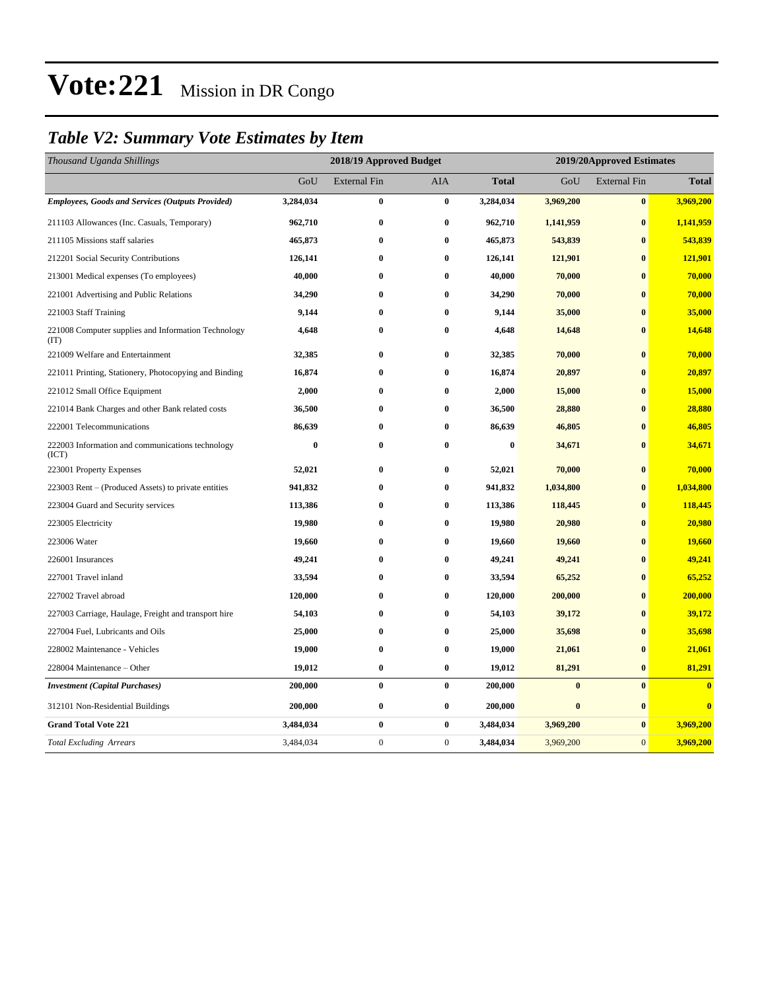## *Table V2: Summary Vote Estimates by Item*

| Thousand Uganda Shillings                                   | 2018/19 Approved Budget |                     |                  |              | 2019/20Approved Estimates |                     |                  |  |
|-------------------------------------------------------------|-------------------------|---------------------|------------------|--------------|---------------------------|---------------------|------------------|--|
|                                                             | GoU                     | <b>External Fin</b> | AIA              | <b>Total</b> | GoU                       | <b>External Fin</b> | <b>Total</b>     |  |
| <b>Employees, Goods and Services (Outputs Provided)</b>     | 3,284,034               | $\bf{0}$            | $\bf{0}$         | 3,284,034    | 3,969,200                 | $\bf{0}$            | 3,969,200        |  |
| 211103 Allowances (Inc. Casuals, Temporary)                 | 962,710                 | $\pmb{0}$           | $\bf{0}$         | 962,710      | 1,141,959                 | $\bf{0}$            | 1,141,959        |  |
| 211105 Missions staff salaries                              | 465,873                 | $\bf{0}$            | $\bf{0}$         | 465,873      | 543,839                   | $\bf{0}$            | 543,839          |  |
| 212201 Social Security Contributions                        | 126,141                 | $\bf{0}$            | $\bf{0}$         | 126,141      | 121,901                   | $\bf{0}$            | 121,901          |  |
| 213001 Medical expenses (To employees)                      | 40,000                  | $\bf{0}$            | $\bf{0}$         | 40,000       | 70,000                    | $\bf{0}$            | 70,000           |  |
| 221001 Advertising and Public Relations                     | 34,290                  | $\bf{0}$            | $\bf{0}$         | 34,290       | 70,000                    | $\bf{0}$            | 70,000           |  |
| 221003 Staff Training                                       | 9,144                   | $\bf{0}$            | $\bf{0}$         | 9,144        | 35,000                    | $\bf{0}$            | 35,000           |  |
| 221008 Computer supplies and Information Technology<br>(TT) | 4,648                   | $\bf{0}$            | $\bf{0}$         | 4,648        | 14,648                    | $\bf{0}$            | 14,648           |  |
| 221009 Welfare and Entertainment                            | 32,385                  | $\bf{0}$            | $\bf{0}$         | 32,385       | 70,000                    | $\bf{0}$            | 70,000           |  |
| 221011 Printing, Stationery, Photocopying and Binding       | 16,874                  | $\bf{0}$            | $\bf{0}$         | 16,874       | 20,897                    | $\bf{0}$            | 20,897           |  |
| 221012 Small Office Equipment                               | 2,000                   | $\pmb{0}$           | $\bf{0}$         | 2,000        | 15,000                    | $\bf{0}$            | 15,000           |  |
| 221014 Bank Charges and other Bank related costs            | 36,500                  | $\bf{0}$            | $\bf{0}$         | 36,500       | 28,880                    | $\bf{0}$            | 28,880           |  |
| 222001 Telecommunications                                   | 86,639                  | $\bf{0}$            | $\bf{0}$         | 86,639       | 46,805                    | $\bf{0}$            | 46,805           |  |
| 222003 Information and communications technology<br>(ICT)   | $\bf{0}$                | $\bf{0}$            | $\bf{0}$         | $\bf{0}$     | 34,671                    | $\bf{0}$            | 34,671           |  |
| 223001 Property Expenses                                    | 52,021                  | $\bf{0}$            | $\bf{0}$         | 52,021       | 70,000                    | $\bf{0}$            | 70,000           |  |
| 223003 Rent – (Produced Assets) to private entities         | 941,832                 | $\bf{0}$            | $\bf{0}$         | 941,832      | 1,034,800                 | $\bf{0}$            | 1,034,800        |  |
| 223004 Guard and Security services                          | 113,386                 | $\bf{0}$            | $\bf{0}$         | 113,386      | 118,445                   | $\bf{0}$            | 118,445          |  |
| 223005 Electricity                                          | 19,980                  | $\bf{0}$            | $\bf{0}$         | 19,980       | 20,980                    | $\mathbf{0}$        | 20,980           |  |
| 223006 Water                                                | 19,660                  | $\bf{0}$            | $\bf{0}$         | 19,660       | 19,660                    | $\bf{0}$            | 19,660           |  |
| 226001 Insurances                                           | 49,241                  | $\bf{0}$            | $\bf{0}$         | 49,241       | 49,241                    | $\bf{0}$            | 49,241           |  |
| 227001 Travel inland                                        | 33,594                  | $\bf{0}$            | $\bf{0}$         | 33,594       | 65,252                    | $\bf{0}$            | 65,252           |  |
| 227002 Travel abroad                                        | 120,000                 | $\bf{0}$            | $\bf{0}$         | 120,000      | 200,000                   | $\bf{0}$            | 200,000          |  |
| 227003 Carriage, Haulage, Freight and transport hire        | 54,103                  | $\bf{0}$            | $\bf{0}$         | 54,103       | 39,172                    | $\bf{0}$            | 39,172           |  |
| 227004 Fuel, Lubricants and Oils                            | 25,000                  | $\bf{0}$            | $\bf{0}$         | 25,000       | 35,698                    | $\bf{0}$            | 35,698           |  |
| 228002 Maintenance - Vehicles                               | 19,000                  | $\bf{0}$            | $\bf{0}$         | 19,000       | 21,061                    | $\bf{0}$            | 21,061           |  |
| 228004 Maintenance – Other                                  | 19,012                  | $\pmb{0}$           | $\bf{0}$         | 19,012       | 81,291                    | $\bf{0}$            | 81,291           |  |
| <b>Investment</b> (Capital Purchases)                       | 200,000                 | $\bf{0}$            | $\bf{0}$         | 200,000      | $\boldsymbol{0}$          | $\bf{0}$            | $\bf{0}$         |  |
| 312101 Non-Residential Buildings                            | 200,000                 | $\pmb{0}$           | $\boldsymbol{0}$ | 200,000      | $\boldsymbol{0}$          | $\bf{0}$            | $\boldsymbol{0}$ |  |
| <b>Grand Total Vote 221</b>                                 | 3,484,034               | $\bf{0}$            | $\bf{0}$         | 3,484,034    | 3,969,200                 | $\bf{0}$            | 3,969,200        |  |
| <b>Total Excluding Arrears</b>                              | 3,484,034               | $\mathbf 0$         | $\mathbf{0}$     | 3,484,034    | 3,969,200                 | $\mathbf{0}$        | 3,969,200        |  |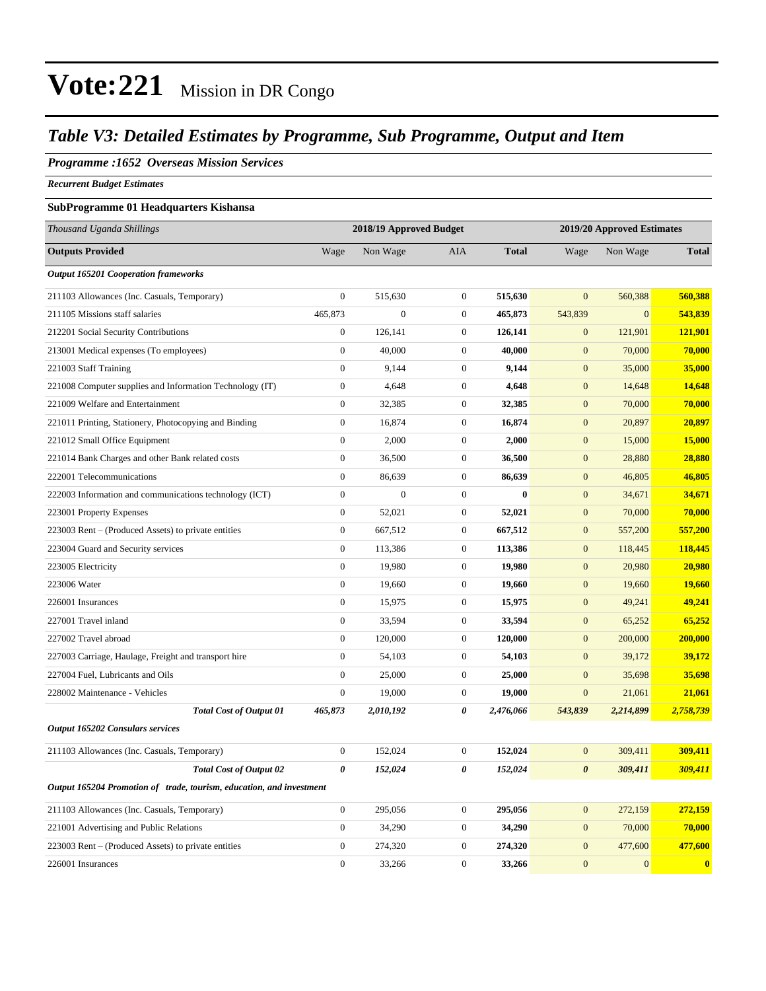#### *Table V3: Detailed Estimates by Programme, Sub Programme, Output and Item*

#### *Programme :1652 Overseas Mission Services*

*Recurrent Budget Estimates*

#### **SubProgramme 01 Headquarters Kishansa**

| Thousand Uganda Shillings                                            | 2018/19 Approved Budget |                  |                       | 2019/20 Approved Estimates |                       |                |              |  |
|----------------------------------------------------------------------|-------------------------|------------------|-----------------------|----------------------------|-----------------------|----------------|--------------|--|
| <b>Outputs Provided</b>                                              | Wage                    | Non Wage         | AIA                   | <b>Total</b>               | Wage                  | Non Wage       | <b>Total</b> |  |
| <b>Output 165201 Cooperation frameworks</b>                          |                         |                  |                       |                            |                       |                |              |  |
| 211103 Allowances (Inc. Casuals, Temporary)                          | $\overline{0}$          | 515,630          | $\overline{0}$        | 515,630                    | $\overline{0}$        | 560,388        | 560,388      |  |
| 211105 Missions staff salaries                                       | 465,873                 | $\boldsymbol{0}$ | $\mathbf{0}$          | 465,873                    | 543,839               | $\overline{0}$ | 543,839      |  |
| 212201 Social Security Contributions                                 | $\boldsymbol{0}$        | 126,141          | $\mathbf{0}$          | 126,141                    | $\mathbf{0}$          | 121,901        | 121,901      |  |
| 213001 Medical expenses (To employees)                               | $\boldsymbol{0}$        | 40,000           | $\mathbf{0}$          | 40,000                     | $\mathbf{0}$          | 70,000         | 70,000       |  |
| 221003 Staff Training                                                | $\boldsymbol{0}$        | 9,144            | $\mathbf{0}$          | 9,144                      | $\mathbf{0}$          | 35,000         | 35,000       |  |
| 221008 Computer supplies and Information Technology (IT)             | $\boldsymbol{0}$        | 4,648            | $\mathbf{0}$          | 4,648                      | $\mathbf{0}$          | 14,648         | 14,648       |  |
| 221009 Welfare and Entertainment                                     | $\boldsymbol{0}$        | 32,385           | $\boldsymbol{0}$      | 32,385                     | $\boldsymbol{0}$      | 70,000         | 70,000       |  |
| 221011 Printing, Stationery, Photocopying and Binding                | $\boldsymbol{0}$        | 16,874           | $\mathbf{0}$          | 16,874                     | $\mathbf{0}$          | 20,897         | 20,897       |  |
| 221012 Small Office Equipment                                        | $\boldsymbol{0}$        | 2,000            | $\mathbf{0}$          | 2,000                      | $\mathbf{0}$          | 15,000         | 15,000       |  |
| 221014 Bank Charges and other Bank related costs                     | $\boldsymbol{0}$        | 36,500           | $\boldsymbol{0}$      | 36,500                     | $\boldsymbol{0}$      | 28,880         | 28,880       |  |
| 222001 Telecommunications                                            | $\boldsymbol{0}$        | 86,639           | $\mathbf{0}$          | 86,639                     | $\boldsymbol{0}$      | 46,805         | 46,805       |  |
| 222003 Information and communications technology (ICT)               | $\boldsymbol{0}$        | $\boldsymbol{0}$ | $\boldsymbol{0}$      | $\bf{0}$                   | $\boldsymbol{0}$      | 34,671         | 34,671       |  |
| 223001 Property Expenses                                             | $\boldsymbol{0}$        | 52,021           | $\mathbf{0}$          | 52,021                     | $\boldsymbol{0}$      | 70,000         | 70,000       |  |
| 223003 Rent – (Produced Assets) to private entities                  | $\boldsymbol{0}$        | 667,512          | $\mathbf{0}$          | 667,512                    | $\boldsymbol{0}$      | 557,200        | 557,200      |  |
| 223004 Guard and Security services                                   | $\boldsymbol{0}$        | 113,386          | $\boldsymbol{0}$      | 113,386                    | $\boldsymbol{0}$      | 118,445        | 118,445      |  |
| 223005 Electricity                                                   | $\boldsymbol{0}$        | 19,980           | $\mathbf{0}$          | 19,980                     | $\mathbf{0}$          | 20,980         | 20,980       |  |
| 223006 Water                                                         | $\boldsymbol{0}$        | 19,660           | $\boldsymbol{0}$      | 19,660                     | $\mathbf{0}$          | 19,660         | 19,660       |  |
| 226001 Insurances                                                    | $\boldsymbol{0}$        | 15,975           | $\boldsymbol{0}$      | 15,975                     | $\mathbf{0}$          | 49,241         | 49,241       |  |
| 227001 Travel inland                                                 | $\boldsymbol{0}$        | 33,594           | $\mathbf{0}$          | 33,594                     | $\mathbf{0}$          | 65,252         | 65,252       |  |
| 227002 Travel abroad                                                 | $\boldsymbol{0}$        | 120,000          | $\boldsymbol{0}$      | 120,000                    | $\mathbf{0}$          | 200,000        | 200,000      |  |
| 227003 Carriage, Haulage, Freight and transport hire                 | $\boldsymbol{0}$        | 54,103           | $\mathbf{0}$          | 54,103                     | $\mathbf{0}$          | 39,172         | 39,172       |  |
| 227004 Fuel, Lubricants and Oils                                     | $\boldsymbol{0}$        | 25,000           | $\boldsymbol{0}$      | 25,000                     | $\boldsymbol{0}$      | 35,698         | 35,698       |  |
| 228002 Maintenance - Vehicles                                        | $\boldsymbol{0}$        | 19,000           | $\mathbf{0}$          | 19,000                     | $\boldsymbol{0}$      | 21,061         | 21,061       |  |
| <b>Total Cost of Output 01</b>                                       | 465,873                 | 2,010,192        | 0                     | 2,476,066                  | 543,839               | 2,214,899      | 2,758,739    |  |
| <b>Output 165202 Consulars services</b>                              |                         |                  |                       |                            |                       |                |              |  |
| 211103 Allowances (Inc. Casuals, Temporary)                          | $\boldsymbol{0}$        | 152,024          | $\boldsymbol{0}$      | 152,024                    | $\overline{0}$        | 309,411        | 309,411      |  |
| <b>Total Cost of Output 02</b>                                       | $\theta$                | 152,024          | $\boldsymbol{\theta}$ | 152,024                    | $\boldsymbol{\theta}$ | 309,411        | 309,411      |  |
| Output 165204 Promotion of trade, tourism, education, and investment |                         |                  |                       |                            |                       |                |              |  |
| 211103 Allowances (Inc. Casuals, Temporary)                          | $\boldsymbol{0}$        | 295,056          | $\boldsymbol{0}$      | 295,056                    | $\boldsymbol{0}$      | 272,159        | 272,159      |  |
| 221001 Advertising and Public Relations                              | $\boldsymbol{0}$        | 34,290           | $\mathbf{0}$          | 34,290                     | $\mathbf{0}$          | 70,000         | 70,000       |  |
| 223003 Rent – (Produced Assets) to private entities                  | $\boldsymbol{0}$        | 274,320          | $\mathbf{0}$          | 274,320                    | $\boldsymbol{0}$      | 477,600        | 477,600      |  |
| 226001 Insurances                                                    | $\overline{0}$          | 33,266           | $\overline{0}$        | 33,266                     | $\overline{0}$        | $\overline{0}$ | $\mathbf{0}$ |  |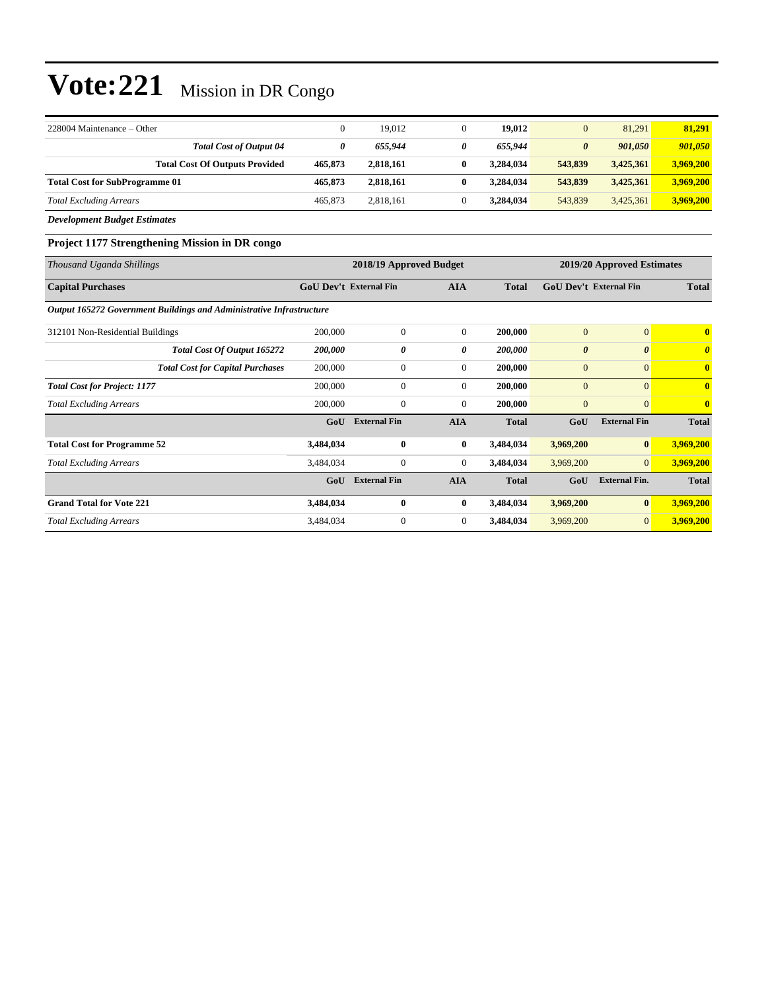| $228004$ Maintenance – Other          |         | 19.012    | 19.012    | $\overline{0}$        | 81,291    | 81.291    |
|---------------------------------------|---------|-----------|-----------|-----------------------|-----------|-----------|
| <b>Total Cost of Output 04</b>        | 0       | 655.944   | 655.944   | $\boldsymbol{\theta}$ | 901.050   | 901,050   |
| <b>Total Cost Of Outputs Provided</b> | 465,873 | 2.818.161 | 3.284,034 | 543,839               | 3,425,361 | 3,969,200 |
| <b>Total Cost for SubProgramme 01</b> | 465,873 | 2.818.161 | 3.284.034 | 543,839               | 3,425,361 | 3,969,200 |
| <b>Total Excluding Arrears</b>        | 465,873 | 2.818.161 | 3.284,034 | 543.839               | 3,425,361 | 3,969,200 |

*Development Budget Estimates*

#### **Project 1177 Strengthening Mission in DR congo**

| Thousand Uganda Shillings                                            |                               | 2018/19 Approved Budget |                | 2019/20 Approved Estimates |                               |                       |              |
|----------------------------------------------------------------------|-------------------------------|-------------------------|----------------|----------------------------|-------------------------------|-----------------------|--------------|
| <b>Capital Purchases</b>                                             | <b>GoU Dev't External Fin</b> |                         | <b>AIA</b>     | <b>Total</b>               | <b>GoU Dev't External Fin</b> |                       | <b>Total</b> |
| Output 165272 Government Buildings and Administrative Infrastructure |                               |                         |                |                            |                               |                       |              |
| 312101 Non-Residential Buildings                                     | 200,000                       | $\mathbf{0}$            | $\Omega$       | 200,000                    | $\overline{0}$                | $\overline{0}$        | $\mathbf{0}$ |
| Total Cost Of Output 165272                                          | 200,000                       | 0                       | 0              | 200,000                    | $\boldsymbol{\theta}$         | $\boldsymbol{\theta}$ | 0            |
| <b>Total Cost for Capital Purchases</b>                              | 200,000                       | $\boldsymbol{0}$        | $\overline{0}$ | 200,000                    | $\boldsymbol{0}$              | $\mathbf{0}$          | $\mathbf{0}$ |
| <b>Total Cost for Project: 1177</b>                                  | 200,000                       | $\mathbf{0}$            | $\overline{0}$ | 200,000                    | $\mathbf{0}$                  | $\overline{0}$        | $\mathbf{0}$ |
| <b>Total Excluding Arrears</b>                                       | 200,000                       | $\mathbf{0}$            | $\overline{0}$ | 200,000                    | $\mathbf{0}$                  | $\mathbf{0}$          | $\mathbf{0}$ |
|                                                                      | GoU                           | <b>External Fin</b>     | <b>AIA</b>     | <b>Total</b>               | GoU                           | <b>External Fin</b>   | <b>Total</b> |
| <b>Total Cost for Programme 52</b>                                   | 3,484,034                     | $\bf{0}$                | $\bf{0}$       | 3,484,034                  | 3,969,200                     | $\bf{0}$              | 3,969,200    |
| <b>Total Excluding Arrears</b>                                       | 3,484,034                     | $\boldsymbol{0}$        | $\overline{0}$ | 3,484,034                  | 3,969,200                     | $\overline{0}$        | 3,969,200    |
|                                                                      | GoU                           | <b>External Fin</b>     | <b>AIA</b>     | <b>Total</b>               | GoU                           | <b>External Fin.</b>  | <b>Total</b> |
| <b>Grand Total for Vote 221</b>                                      | 3,484,034                     | $\bf{0}$                | $\bf{0}$       | 3,484,034                  | 3,969,200                     | $\bf{0}$              | 3,969,200    |
| <b>Total Excluding Arrears</b>                                       | 3,484,034                     | $\bf{0}$                | $\overline{0}$ | 3,484,034                  | 3,969,200                     | $\overline{0}$        | 3,969,200    |